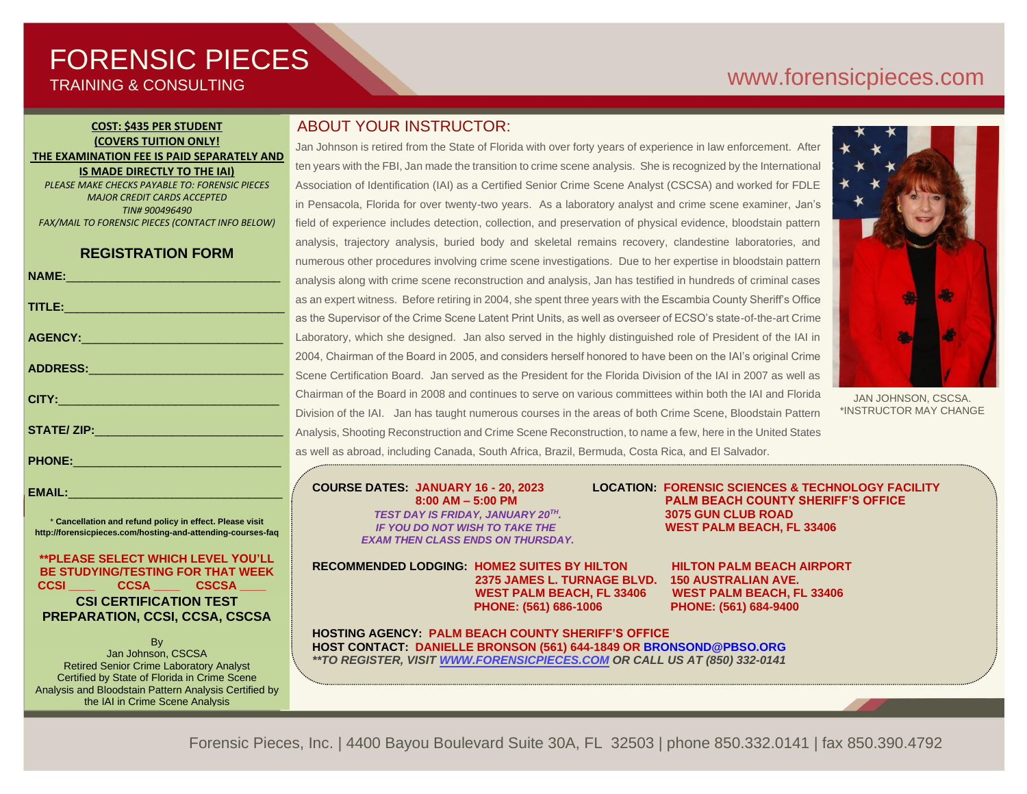# FORENSIC PIECES TRAINING & CONSULTING

# [www.forensicp](http://www.forensic/)ieces.com

### **COST: \$435 PER STUDENT (COVERS TUITION ONLY! THE EXAMINATION FEE IS PAID SEPARATELY AND IS MADE DIRECTLY TO THE IAI)**

*PLEASE MAKE CHECKS PAYABLE TO: FORENSIC PIECES MAJOR CREDIT CARDS ACCEPTED TIN# 900496490 FAX/MAIL TO FORENSIC PIECES (CONTACT INFO BELOW)*

## **REGISTRATION FORM**

| NAME: 2008 - 2008 - 2008 - 2008 - 2010 - 2010 - 2010 - 2011 - 2012 - 2012 - 2012 - 2013 - 2014 - 2014 - 2014 - | $\epsilon$       |
|----------------------------------------------------------------------------------------------------------------|------------------|
| TITLE: And the contract of the contract of the contract of the contract of the contract of the contract of the | ć                |
|                                                                                                                | á                |
|                                                                                                                | L                |
|                                                                                                                | $\overline{2}$   |
|                                                                                                                | $\tilde{\Omega}$ |
|                                                                                                                | $\overline{C}$   |
|                                                                                                                | ľ                |
|                                                                                                                | $\overline{1}$   |
|                                                                                                                | ć                |
|                                                                                                                |                  |

\* **Cancellation and refund policy in effect. Please visit http://forensicpieces.com/hosting-and-attending-courses-faq**

EMAIL:

**\*\*PLEASE SELECT WHICH LEVEL YOU'LL BE STUDYING/TESTING FOR THAT WEEK CCSI \_\_\_\_ CCSA \_\_\_\_ CSCSA \_\_\_\_ CSI CERTIFICATION TEST PREPARATION, CCSI, CCSA, CSCSA**

**B** Jan Johnson, CSCSA Retired Senior Crime Laboratory Analyst Certified by State of Florida in Crime Scene Analysis and Bloodstain Pattern Analysis Certified by the IAI in Crime Scene Analysis

President of Forensic Pieces, Inc.

# ABOUT YOUR INSTRUCTOR:

Jan Johnson is retired from the State of Florida with over forty years of experience in law enforcement. After ten years with the FBI, Jan made the transition to crime scene analysis. She is recognized by the International Association of Identification (IAI) as a Certified Senior Crime Scene Analyst (CSCSA) and worked for FDLE in Pensacola, Florida for over twenty-two years. As a laboratory analyst and crime scene examiner, Jan's field of experience includes detection, collection, and preservation of physical evidence, bloodstain pattern analysis, trajectory analysis, buried body and skeletal remains recovery, clandestine laboratories, and numerous other procedures involving crime scene investigations. Due to her expertise in bloodstain pattern analysis along with crime scene reconstruction and analysis, Jan has testified in hundreds of criminal cases as an expert witness. Before retiring in 2004, she spent three years with the Escambia County Sheriff's Office as the Supervisor of the Crime Scene Latent Print Units, as well as overseer of ECSO's state-of-the-art Crime Laboratory, which she designed. Jan also served in the highly distinguished role of President of the IAI in 2004, Chairman of the Board in 2005, and considers herself honored to have been on the IAI's original Crime Scene Certification Board. Jan served as the President for the Florida Division of the IAI in 2007 as well as Chairman of the Board in 2008 and continues to serve on various committees within both the IAI and Florida Division of the IAI. Jan has taught numerous courses in the areas of both Crime Scene, Bloodstain Pattern Analysis, Shooting Reconstruction and Crime Scene Reconstruction, to name a few, here in the United States as well as abroad, including Canada, South Africa, Brazil, Bermuda, Costa Rica, and El Salvador.



JAN JOHNSON, CSCSA. \*INSTRUCTOR MAY CHANGE

*TEST DAY IS FRIDAY, JANUARY 20TH EXAM THEN CLASS ENDS ON THURSDAY.*

**RECOMMENDED LODGING: HOME2 SUITES BY HILTON HILTON PALM BEACH AIRPORT 2375 JAMES L. TURNAGE BLVD. 150 AUSTRALIAN AVE. WEST PALM BEACH, FL 33406 WEST PALM BEACH, FL 33406 PHONE: (561) 686-1006 PHONE: (561) 684-9400**

**HOSTING AGENCY: PALM BEACH COUNTY SHERIFF'S OFFICE HOST CONTACT: DANIELLE BRONSON (561) 644-1849 OR BRONSOND@PBSO.ORG** *\*\*TO REGISTER, VISIT [WWW.FORENSICPIECES.COM](http://www.forensicpieces.com/) OR CALL US AT (850) 332-0141*

**COURSE DATES: JANUARY 16 - 20, 2023 LOCATION: FORENSIC SCIENCES & TECHNOLOGY FACILITY 8:00 AM – 5:00 PM PALM BEACH COUNTY SHERIFF'S OFFICE** *.* **3075 GUN CLUB ROAD**   *IF YOU DO NOT WISH TO TAKE THE* **WEST PALM BEACH, FL 33406**

Forensic Pieces, Inc. | 4400 Bayou Boulevard Suite 30A, FL 32503 | phone 850.332.0141 | fax 850.390.4792